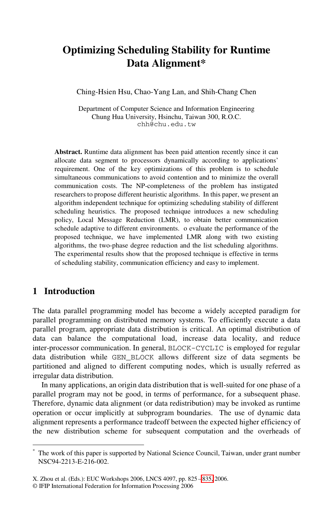# **Optimizing Scheduling Stability for Runtime Data Alignment\***

Ching-Hsien Hsu, Chao-Yang Lan, and Shih-Chang Chen

Department of Computer Science and Information Engineering Chung Hua University, Hsinchu, Taiwan 300, R.O.C. chh@chu.edu.tw

**Abstract.** Runtime data alignment has been paid attention recently since it can allocate data segment to processors dynamically according to applications' requirement. One of the key optimizations of this problem is to schedule simultaneous communications to avoid contention and to minimize the overall communication costs. The NP-completeness of the problem has instigated researchers to propose different heuristic algorithms. In this paper, we present an algorithm independent technique for optimizing scheduling stability of different scheduling heuristics. The proposed technique introduces a new scheduling policy, Local Message Reduction (LMR), to obtain better communication schedule adaptive to different environments. o evaluate the performance of the proposed technique, we have implemented LMR along with two existing algorithms, the two-phase degree reduction and the list scheduling algorithms. The experimental results show that the proposed technique is effective in terms of scheduling stability, communication efficiency and easy to implement.

#### **1 Introduction**

j

The data parallel programming model has become a widely accepted paradigm for parallel programming on distributed memory systems. To efficiently execute a data parallel program, appropriate data distribution is critical. An optimal distribution of data can balance the computational load, increase data locality, and reduce inter-processor communication. In general, BLOCK-CYCLIC is employed for regular data distribution while GEN\_BLOCK allows different size of data segments be partitioned and aligned to different computing nodes, which is usually referred as irregular data distribution.

In many applications, an origin data distribution that is well-suited for one phase of a parallel program may not be good, in terms of performance, for a subsequent phase. Therefore, dynamic data alignment (or data redistribution) may be invoked as runtime operation or occur implicitly at subprogram boundaries. The use of dynamic data alignment represents a performance tradeoff between the expected higher efficiency of the new distribution scheme for subsequent computation and the overheads of

<sup>\*</sup> The work of this paper is supported by National Science Council, Taiwan, under grant number NSC94-2213-E-216-002.

<sup>©</sup> IFIP International Federation for Information Processing 2006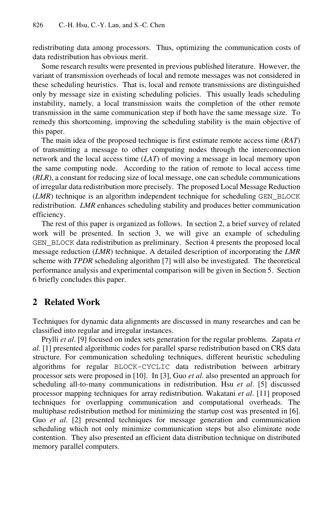redistributing data among processors. Thus, optimizing the communication costs of data redistribution has obvious merit.

Some research results were presented in previous published literature. However, the variant of transmission overheads of local and remote messages was not considered in these scheduling heuristics. That is, local and remote transmissions are distinguished only by message size in existing scheduling policies. This usually leads scheduling instability, namely, a local transmission waits the completion of the other remote transmission in the same communication step if both have the same message size. To remedy this shortcoming, improving the scheduling stability is the main objective of this paper.

The main idea of the proposed technique is first estimate remote access time (*RAT*) of transmitting a message to other computing nodes through the interconnection network and the local access time (*LAT*) of moving a message in local memory upon the same computing node. According to the ration of remote to local access time (*RLR*), a constant for reducing size of local message, one can schedule communications of irregular data redistribution more precisely. The proposed Local Message Reduction (*LMR*) technique is an algorithm independent technique for scheduling GEN\_BLOCK redistribution. *LMR* enhances scheduling stability and produces better communication efficiency.

The rest of this paper is organized as follows. In section 2, a brief survey of related work will be presented. In section 3, we will give an example of scheduling GEN\_BLOCK data redistribution as preliminary. Section 4 presents the proposed local message reduction (*LMR*) technique. A detailed description of incorporating the *LMR* scheme with *TPDR* scheduling algorithm [7] will also be investigated. The theoretical performance analysis and experimental comparison will be given in Section 5. Section 6 briefly concludes this paper.

## **2 Related Work**

Techniques for dynamic data alignments are discussed in many researches and can be classified into regular and irregular instances.

Prylli *et al*. [9] focused on index sets generation for the regular problems. Zapata *et al.* [1] presented algorithmic codes for parallel sparse redistribution based on CRS data structure. For communication scheduling techniques, different heuristic scheduling algorithms for regular BLOCK-CYCLIC data redistribution between arbitrary processor sets were proposed in [10]. In [3], Guo *et al*. also presented an approach for scheduling all-to-many communications in redistribution. Hsu *et al*. [5] discussed processor mapping techniques for array redistribution. Wakatani *et al*. [11] proposed techniques for overlapping communication and computational overheads. The multiphase redistribution method for minimizing the startup cost was presented in [6]. Guo *et al*. [2] presented techniques for message generation and communication scheduling which not only minimize communication steps but also eliminate node contention. They also presented an efficient data distribution technique on distributed memory parallel computers.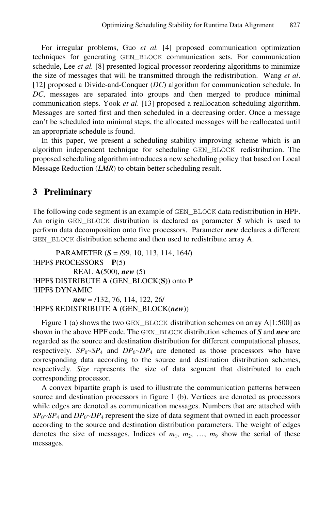For irregular problems, Guo *et al.* [4] proposed communication optimization techniques for generating GEN\_BLOCK communication sets. For communication schedule, Lee *et al.* [8] presented logical processor reordering algorithms to minimize the size of messages that will be transmitted through the redistribution. Wang *et al*. [12] proposed a Divide-and-Conquer (*DC*) algorithm for communication schedule. In *DC*, messages are separated into groups and then merged to produce minimal communication steps. Yook *et al*. [13] proposed a reallocation scheduling algorithm. Messages are sorted first and then scheduled in a decreasing order. Once a message can't be scheduled into minimal steps, the allocated messages will be reallocated until an appropriate schedule is found.

In this paper, we present a scheduling stability improving scheme which is an algorithm independent technique for scheduling GEN\_BLOCK redistribution. The proposed scheduling algorithm introduces a new scheduling policy that based on Local Message Reduction (*LMR*) to obtain better scheduling result.

## **3 Preliminary**

The following code segment is an example of GEN\_BLOCK data redistribution in HPF. An origin GEN\_BLOCK distribution is declared as parameter *S* which is used to perform data decomposition onto five processors. Parameter *new* declares a different GEN\_BLOCK distribution scheme and then used to redistribute array A.

PARAMETER (*S* = /99, 10, 113, 114, 164/) !HPF\$ PROCESSORS **P**(5) REAL **A**(500), *new* (5) !HPF\$ DISTRIBUTE **A** (GEN\_BLOCK(**S**)) onto **P**  !HPF\$ DYNAMIC *new* = /132, 76, 114, 122, 26/ !HPF\$ REDISTRIBUTE **A** (GEN\_BLOCK(*new*))

Figure 1 (a) shows the two GEN\_BLOCK distribution schemes on array A[1:500] as shown in the above HPF code. The GEN\_BLOCK distribution schemes of *S* and *new* are regarded as the source and destination distribution for different computational phases, respectively.  $SP_0 \sim SP_4$  and  $DP_0 \sim DP_4$  are denoted as those processors who have corresponding data according to the source and destination distribution schemes, respectively. *Size* represents the size of data segment that distributed to each corresponding processor.

A convex bipartite graph is used to illustrate the communication patterns between source and destination processors in figure 1 (b). Vertices are denoted as processors while edges are denoted as communication messages. Numbers that are attached with  $SP_0 \sim SP_4$  and  $DP_0 \sim DP_4$  represent the size of data segment that owned in each processor according to the source and destination distribution parameters. The weight of edges denotes the size of messages. Indices of  $m_1$ ,  $m_2$ , ...,  $m_9$  show the serial of these messages.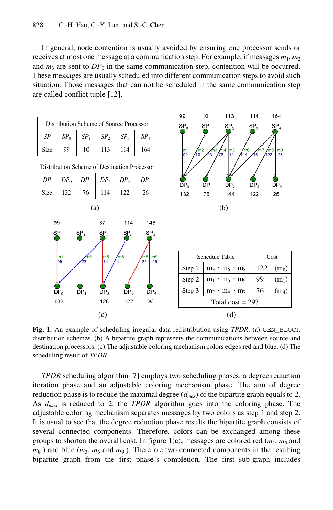In general, node contention is usually avoided by ensuring one processor sends or receives at most one message at a communication step. For example, if messages  $m_1$ ,  $m_2$ and  $m_3$  are sent to  $DP_0$  in the same communication step, contention will be occurred. These messages are usually scheduled into different communication steps to avoid such situation. Those messages that can not be scheduled in the same communication step are called conflict tuple [12].

| Distribution Scheme of Source Processor      |                 |                 |                 |                 |                 |
|----------------------------------------------|-----------------|-----------------|-----------------|-----------------|-----------------|
| SP                                           | SP <sub>0</sub> | SP <sub>1</sub> | SP <sub>2</sub> | SP <sub>3</sub> | SP <sub>4</sub> |
| Size                                         | 99              | 10              | 113             | 114             | 164             |
| Distribution Scheme of Destination Processor |                 |                 |                 |                 |                 |
| DP                                           | $DP_0$          | $DP_1$          | DP <sub>2</sub> | DP <sub>3</sub> | $DP_{4}$        |
| Size                                         | 132             | 76              | 114             | 122             | 26              |
|                                              |                 |                 |                 |                 |                 |





| $\frac{m5}{14}$<br>m <sub>6</sub><br>m8<br>22 |                 | m9<br>26        |                    | Schedule Table            | Cost |         |
|-----------------------------------------------|-----------------|-----------------|--------------------|---------------------------|------|---------|
|                                               |                 |                 | Step 1             | $m_3 \cdot m_6 \cdot m_8$ | 122  | $(m_8)$ |
|                                               |                 |                 | Step 2             | $m_1 \cdot m_5 \cdot m_9$ | 99   | $(m_1)$ |
| DP <sub>2</sub>                               | DP <sub>3</sub> | DP <sub>4</sub> | Step 3             | $m_2 \cdot m_4 \cdot m_7$ | 76   | $(m_4)$ |
| 128                                           | 122             | 26              | Total cost $= 297$ |                           |      |         |
| (c)                                           |                 |                 |                    | ια.                       |      |         |

**Fig. 1.** An example of scheduling irregular data redistribution using *TPDR*. (a) GEN\_BLOCK distribution schemes. (b) A bipartite graph represents the communications between source and destination processors. (c) The adjustable coloring mechanism colors edges red and blue. (d) The scheduling result of *TPDR*.

*TPDR* scheduling algorithm [7] employs two scheduling phases: a degree reduction iteration phase and an adjustable coloring mechanism phase. The aim of degree reduction phase is to reduce the maximal degree  $(d_{max})$  of the bipartite graph equals to 2. As *dmax* is reduced to 2, the *TPDR* algorithm goes into the coloring phase. The adjustable coloring mechanism separates messages by two colors as step 1 and step 2. It is usual to see that the degree reduction phase results the bipartite graph consists of several connected components. Therefore, colors can be exchanged among these groups to shorten the overall cost. In figure 1(c), messages are colored red  $(m_1, m_5)$  and  $m_8$ .) and blue ( $m_3$ ,  $m_6$  and  $m_9$ .). There are two connected components in the resulting bipartite graph from the first phase's completion. The first sub-graph includes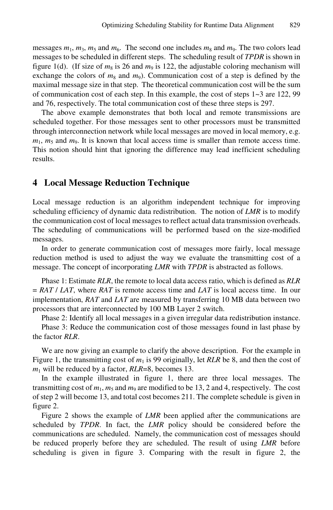messages  $m_1$ ,  $m_3$ ,  $m_5$  and  $m_6$ . The second one includes  $m_8$  and  $m_9$ . The two colors lead messages to be scheduled in different steps. The scheduling result of *TPDR* is shown in figure 1(d). (If size of  $m_8$  is 26 and  $m_9$  is 122, the adjustable coloring mechanism will exchange the colors of  $m_8$  and  $m_9$ ). Communication cost of a step is defined by the maximal message size in that step. The theoretical communication cost will be the sum of communication cost of each step. In this example, the cost of steps  $1 \sim 3$  are 122, 99 and 76, respectively. The total communication cost of these three steps is 297.

The above example demonstrates that both local and remote transmissions are scheduled together. For those messages sent to other processors must be transmitted through interconnection network while local messages are moved in local memory, e.g.  $m_1$ ,  $m_5$  and  $m_9$ . It is known that local access time is smaller than remote access time. This notion should hint that ignoring the difference may lead inefficient scheduling results.

#### **4 Local Message Reduction Technique**

Local message reduction is an algorithm independent technique for improving scheduling efficiency of dynamic data redistribution. The notion of *LMR* is to modify the communication cost of local messages to reflect actual data transmission overheads. The scheduling of communications will be performed based on the size-modified messages.

In order to generate communication cost of messages more fairly, local message reduction method is used to adjust the way we evaluate the transmitting cost of a message. The concept of incorporating *LMR* with *TPDR* is abstracted as follows.

Phase 1: Estimate *RLR*, the remote to local data access ratio, which is defined as *RLR* = *RAT* / *LAT*, where *RAT* is remote access time and *LAT* is local access time. In our implementation, *RAT* and *LAT* are measured by transferring 10 MB data between two processors that are interconnected by 100 MB Layer 2 switch.

Phase 2: Identify all local messages in a given irregular data redistribution instance.

Phase 3: Reduce the communication cost of those messages found in last phase by the factor *RLR*.

We are now giving an example to clarify the above description. For the example in Figure 1, the transmitting cost of  $m_1$  is 99 originally, let *RLR* be 8, and then the cost of  $m_1$  will be reduced by a factor,  $RLR=8$ , becomes 13.

In the example illustrated in figure 1, there are three local messages. The transmitting cost of  $m_1$ ,  $m_5$  and  $m_9$  are modified to be 13, 2 and 4, respectively. The cost of step 2 will become 13, and total cost becomes 211. The complete schedule is given in figure 2.

Figure 2 shows the example of *LMR* been applied after the communications are scheduled by *TPDR*. In fact, the *LMR* policy should be considered before the communications are scheduled. Namely, the communication cost of messages should be reduced properly before they are scheduled. The result of using *LMR* before scheduling is given in figure 3. Comparing with the result in figure 2, the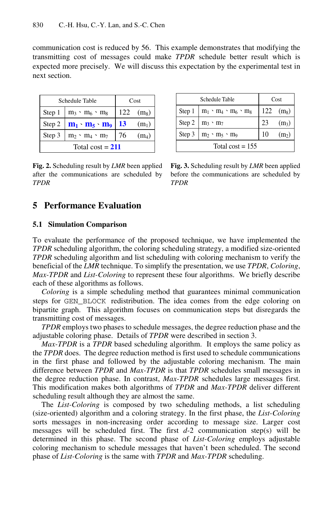communication cost is reduced by 56. This example demonstrates that modifying the transmitting cost of messages could make *TPDR* schedule better result which is expected more precisely. We will discuss this expectation by the experimental test in next section.

| Schedule Table     |                           | Cost |                   |  |
|--------------------|---------------------------|------|-------------------|--|
| Step 1             | $m_3 \cdot m_6 \cdot m_8$ |      | 122 $(m_8)$       |  |
| Step 2             | $m_1 \cdot m_5 \cdot m_9$ | 13   | $(m_1)$           |  |
| Step 3             | $m_2 \cdot m_4 \cdot m_7$ | 76   | (m <sub>4</sub> ) |  |
| Total cost $= 211$ |                           |      |                   |  |

**Fig. 2.** Scheduling result by *LMR* been applied after the communications are scheduled by *TPDR*

|                    | Cost                                |    |                   |  |  |
|--------------------|-------------------------------------|----|-------------------|--|--|
| Step 1             | $m_1 \cdot m_4 \cdot m_6 \cdot m_8$ |    | $122 \, (m_8)$    |  |  |
| Step 2             | $m_3 \cdot m_7$                     | 23 | $(m_3)$           |  |  |
| Step 3             | $m_2 \cdot m_5 \cdot m_9$           | 10 | (m <sub>2</sub> ) |  |  |
| Total cost = $155$ |                                     |    |                   |  |  |

**Fig. 3.** Scheduling result by *LMR* been applied before the communications are scheduled by *TPDR*

### **5 Performance Evaluation**

#### **5.1 Simulation Comparison**

To evaluate the performance of the proposed technique, we have implemented the *TPDR* scheduling algorithm, the coloring scheduling strategy, a modified size-oriented *TPDR* scheduling algorithm and list scheduling with coloring mechanism to verify the beneficial of the *LMR* technique. To simplify the presentation, we use *TPDR*, *Coloring*, *Max-TPDR* and *List-Coloring* to represent these four algorithms. We briefly describe each of these algorithms as follows.

*Coloring* is a simple scheduling method that guarantees minimal communication steps for GEN\_BLOCK redistribution. The idea comes from the edge coloring on bipartite graph. This algorithm focuses on communication steps but disregards the transmitting cost of messages.

*TPDR* employs two phases to schedule messages, the degree reduction phase and the adjustable coloring phase. Details of *TPDR* were described in section 3.

*Max-TPDR* is a *TPDR* based scheduling algorithm. It employs the same policy as the *TPDR* does. The degree reduction method is first used to schedule communications in the first phase and followed by the adjustable coloring mechanism. The main difference between *TPDR* and *Max-TPDR* is that *TPDR* schedules small messages in the degree reduction phase. In contrast, *Max-TPDR* schedules large messages first. This modification makes both algorithms of *TPDR* and *Max-TPDR* deliver different scheduling result although they are almost the same.

The *List-Coloring* is composed by two scheduling methods, a list scheduling (size-oriented) algorithm and a coloring strategy. In the first phase, the *List-Coloring* sorts messages in non-increasing order according to message size. Larger cost messages will be scheduled first. The first *d*-2 communication step(s) will be determined in this phase. The second phase of *List-Coloring* employs adjustable coloring mechanism to schedule messages that haven't been scheduled. The second phase of *List-Coloring* is the same with *TPDR* and *Max-TPDR* scheduling.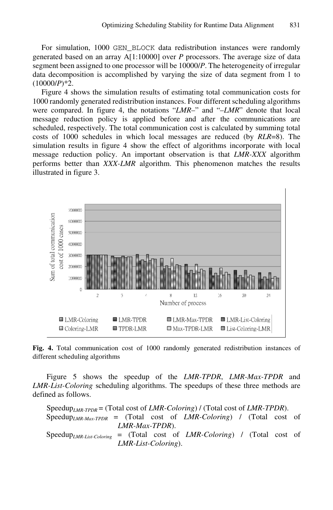For simulation, 1000 GEN\_BLOCK data redistribution instances were randomly generated based on an array A[1:10000] over *P* processors. The average size of data segment been assigned to one processor will be 10000/*P*. The heterogeneity of irregular data decomposition is accomplished by varying the size of data segment from 1 to  $(10000/P)^*2$ .

Figure 4 shows the simulation results of estimating total communication costs for 1000 randomly generated redistribution instances. Four different scheduling algorithms were compared. In figure 4, the notations "*LMR*–" and "–*LMR*" denote that local message reduction policy is applied before and after the communications are scheduled, respectively. The total communication cost is calculated by summing total costs of 1000 schedules in which local messages are reduced (by *RLR*=8). The simulation results in figure 4 show the effect of algorithms incorporate with local message reduction policy. An important observation is that *LMR-XXX* algorithm performs better than *XXX-LMR* algorithm. This phenomenon matches the results illustrated in figure 3.



**Fig. 4.** Total communication cost of 1000 randomly generated redistribution instances of different scheduling algorithms

Figure 5 shows the speedup of the *LMR-TPDR*, *LMR-Max-TPDR* and *LMR-List-Coloring* scheduling algorithms. The speedups of these three methods are defined as follows.

Speedup*LMR-TPDR* = (Total cost of *LMR-Coloring*) / (Total cost of *LMR-TPDR*). Speedup*LMR-Max-TPDR* = (Total cost of *LMR-Coloring*) / (Total cost of *LMR-Max-TPDR*). Speedup*LMR-List-Coloring* = (Total cost of *LMR-Coloring*) / (Total cost of *LMR-List-Coloring*).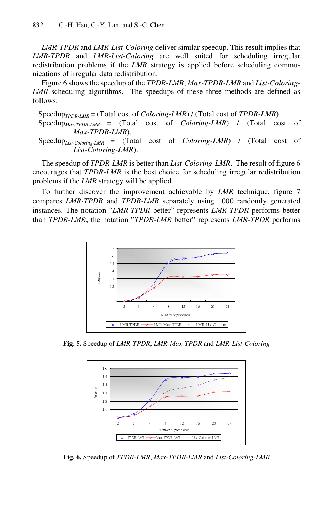*LMR-TPDR* and *LMR-List-Coloring* deliver similar speedup. This result implies that *LMR-TPDR* and *LMR-List-Coloring* are well suited for scheduling irregular redistribution problems if the *LMR* strategy is applied before scheduling communications of irregular data redistribution.

Figure 6 shows the speedup of the *TPDR-LMR*, *Max-TPDR-LMR* and *List-Coloring-LMR* scheduling algorithms. The speedups of these three methods are defined as follows.

Speedup*TPDR-LMR* = (Total cost of *Coloring-LMR*) / (Total cost of *TPDR-LMR*). Speedup*Max-TPDR-LMR* = (Total cost of *Coloring-LMR*) / (Total cost of *Max-TPDR-LMR*).

Speedup*List-Coloring-LMR* = (Total cost of *Coloring-LMR*) / (Total cost of *List-Coloring-LMR*).

The speedup of *TPDR-LMR* is better than *List-Coloring-LMR*. The result of figure 6 encourages that *TPDR-LMR* is the best choice for scheduling irregular redistribution problems if the *LMR* strategy will be applied.

To further discover the improvement achievable by *LMR* technique, figure 7 compares *LMR-TPDR* and *TPDR-LMR* separately using 1000 randomly generated instances. The notation "*LMR-TPDR* better" represents *LMR-TPDR* performs better than *TPDR-LMR*; the notation "*TPDR-LMR* better" represents *LMR-TPDR* performs



**Fig. 5.** Speedup of *LMR-TPDR*, *LMR-Max-TPDR* and *LMR-List-Coloring*



**Fig. 6.** Speedup of *TPDR-LMR*, *Max-TPDR-LMR* and *List-Coloring-LMR*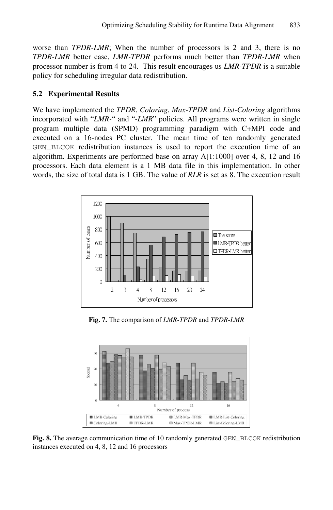worse than *TPDR-LMR*; When the number of processors is 2 and 3, there is no *TPDR-LMR* better case, *LMR-TPDR* performs much better than *TPDR-LMR* when processor number is from 4 to 24. This result encourages us *LMR-TPDR* is a suitable policy for scheduling irregular data redistribution.

#### **5.2 Experimental Results**

We have implemented the *TPDR*, *Coloring*, *Max-TPDR* and *List-Coloring* algorithms incorporated with "*LMR-*" and "*-LMR*" policies. All programs were written in single program multiple data (SPMD) programming paradigm with C+MPI code and executed on a 16-nodes PC cluster. The mean time of ten randomly generated GEN\_BLCOK redistribution instances is used to report the execution time of an algorithm. Experiments are performed base on array  $A[1:1000]$  over 4, 8, 12 and 16 processors. Each data element is a 1 MB data file in this implementation. In other words, the size of total data is 1 GB. The value of *RLR* is set as 8. The execution result



**Fig. 7.** The comparison of *LMR-TPDR* and *TPDR-LMR*



**Fig. 8.** The average communication time of 10 randomly generated GEN\_BLCOK redistribution instances executed on 4, 8, 12 and 16 processors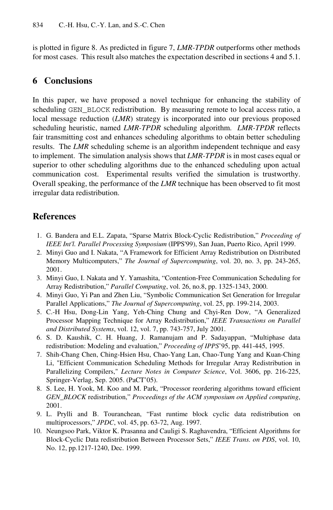is plotted in figure 8. As predicted in figure 7, *LMR-TPDR* outperforms other methods for most cases. This result also matches the expectation described in sections 4 and 5.1.

## **6 Conclusions**

In this paper, we have proposed a novel technique for enhancing the stability of scheduling GEN\_BLOCK redistribution. By measuring remote to local access ratio, a local message reduction (*LMR*) strategy is incorporated into our previous proposed scheduling heuristic, named *LMR-TPDR* scheduling algorithm. *LMR-TPDR* reflects fair transmitting cost and enhances scheduling algorithms to obtain better scheduling results. The *LMR* scheduling scheme is an algorithm independent technique and easy to implement. The simulation analysis shows that *LMR-TPDR* is in most cases equal or superior to other scheduling algorithms due to the enhanced scheduling upon actual communication cost. Experimental results verified the simulation is trustworthy. Overall speaking, the performance of the *LMR* technique has been observed to fit most irregular data redistribution.

# **References**

- 1. G. Bandera and E.L. Zapata, "Sparse Matrix Block-Cyclic Redistribution," *Proceeding of IEEE Int'l. Parallel Processing Symposium* (IPPS'99), San Juan, Puerto Rico, April 1999.
- 2. Minyi Guo and I. Nakata, "A Framework for Efficient Array Redistribution on Distributed Memory Multicomputers," *The Journal of Supercomputing*, vol. 20, no. 3, pp. 243-265, 2001.
- 3. Minyi Guo, I. Nakata and Y. Yamashita, "Contention-Free Communication Scheduling for Array Redistribution," *Parallel Computing*, vol. 26, no.8, pp. 1325-1343, 2000.
- 4. Minyi Guo, Yi Pan and Zhen Liu, "Symbolic Communication Set Generation for Irregular Parallel Applications," *The Journal of Supercomputing*, vol. 25, pp. 199-214, 2003.
- 5. C.-H Hsu, Dong-Lin Yang, Yeh-Ching Chung and Chyi-Ren Dow, "A Generalized Processor Mapping Technique for Array Redistribution," *IEEE Transactions on Parallel and Distributed Systems*, vol. 12, vol. 7, pp. 743-757, July 2001.
- 6. S. D. Kaushik, C. H. Huang, J. Ramanujam and P. Sadayappan, "Multiphase data redistribution: Modeling and evaluation," *Proceeding of IPPS*'95, pp. 441-445, 1995.
- 7. Shih-Chang Chen, Ching-Hsien Hsu, Chao-Yang Lan, Chao-Tung Yang and Kuan-Ching Li, "Efficient Communication Scheduling Methods for Irregular Array Redistribution in Parallelizing Compilers," *Lecture Notes in Computer Science*, Vol. 3606, pp. 216-225, Springer-Verlag, Sep. 2005. (PaCT'05).
- 8. S. Lee, H. Yook, M. Koo and M. Park, "Processor reordering algorithms toward efficient *GEN\_BLOCK* redistribution," *Proceedings of the ACM symposium on Applied computing*, 2001.
- 9. L. Prylli and B. Touranchean, "Fast runtime block cyclic data redistribution on multiprocessors," *JPDC*, vol. 45, pp. 63-72, Aug. 1997.
- 10. Neungsoo Park, Viktor K. Prasanna and Cauligi S. Raghavendra, "Efficient Algorithms for Block-Cyclic Data redistribution Between Processor Sets," *IEEE Trans. on PDS*, vol. 10, No. 12, pp.1217-1240, Dec. 1999.